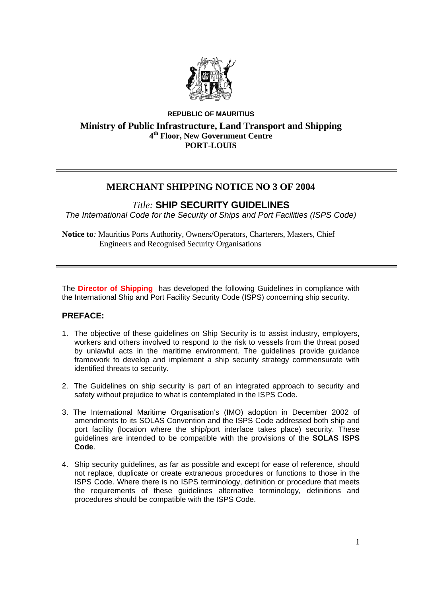

# **REPUBLIC OF MAURITIUS Ministry of Public Infrastructure, Land Transport and Shipping 4th Floor, New Government Centre PORT-LOUIS**

# **MERCHANT SHIPPING NOTICE NO 3 OF 2004**

# *Title:* **SHIP SECURITY GUIDELINES**

*The International Code for the Security of Ships and Port Facilities (ISPS Code)*

**Notice to***:* Mauritius Ports Authority, Owners/Operators, Charterers, Masters, Chief Engineers and Recognised Security Organisations

The **Director of Shipping** has developed the following Guidelines in compliance with the International Ship and Port Facility Security Code (ISPS) concerning ship security.

# **PREFACE:**

- 1. The objective of these guidelines on Ship Security is to assist industry, employers, workers and others involved to respond to the risk to vessels from the threat posed by unlawful acts in the maritime environment. The guidelines provide guidance framework to develop and implement a ship security strategy commensurate with identified threats to security.
- 2. The Guidelines on ship security is part of an integrated approach to security and safety without prejudice to what is contemplated in the ISPS Code.
- 3. The International Maritime Organisation's (IMO) adoption in December 2002 of amendments to its SOLAS Convention and the ISPS Code addressed both ship and port facility (location where the ship/port interface takes place) security. These guidelines are intended to be compatible with the provisions of the **SOLAS ISPS Code**.
- 4. Ship security guidelines, as far as possible and except for ease of reference, should not replace, duplicate or create extraneous procedures or functions to those in the ISPS Code. Where there is no ISPS terminology, definition or procedure that meets the requirements of these guidelines alternative terminology, definitions and procedures should be compatible with the ISPS Code.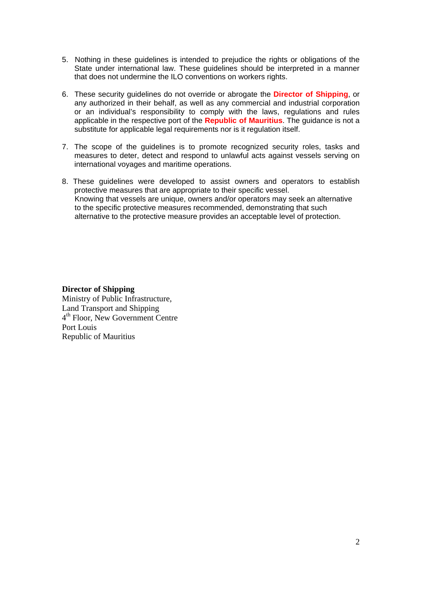- 5. Nothing in these guidelines is intended to prejudice the rights or obligations of the State under international law. These guidelines should be interpreted in a manner that does not undermine the ILO conventions on workers rights.
- 6. These security guidelines do not override or abrogate the **Director of Shipping**, or any authorized in their behalf, as well as any commercial and industrial corporation or an individual's responsibility to comply with the laws, regulations and rules applicable in the respective port of the **Republic of Mauritius**. The guidance is not a substitute for applicable legal requirements nor is it regulation itself.
- 7. The scope of the guidelines is to promote recognized security roles, tasks and measures to deter, detect and respond to unlawful acts against vessels serving on international voyages and maritime operations.
- 8. These guidelines were developed to assist owners and operators to establish protective measures that are appropriate to their specific vessel. Knowing that vessels are unique, owners and/or operators may seek an alternative to the specific protective measures recommended, demonstrating that such alternative to the protective measure provides an acceptable level of protection.

#### **Director of Shipping**

Ministry of Public Infrastructure, Land Transport and Shipping 4th Floor, New Government Centre Port Louis Republic of Mauritius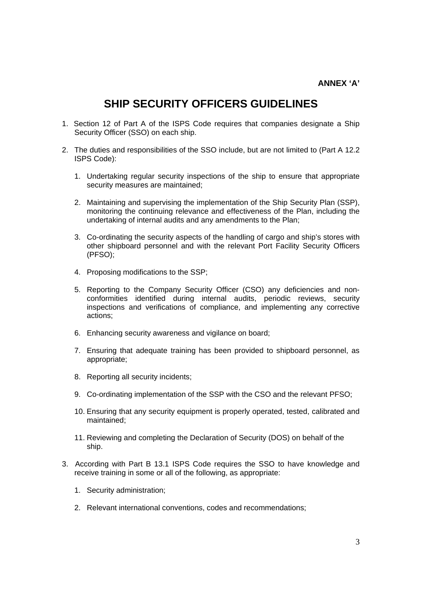# **SHIP SECURITY OFFICERS GUIDELINES**

- 1. Section 12 of Part A of the ISPS Code requires that companies designate a Ship Security Officer (SSO) on each ship.
- 2. The duties and responsibilities of the SSO include, but are not limited to (Part A 12.2 ISPS Code):
	- 1. Undertaking regular security inspections of the ship to ensure that appropriate security measures are maintained;
	- 2. Maintaining and supervising the implementation of the Ship Security Plan (SSP), monitoring the continuing relevance and effectiveness of the Plan, including the undertaking of internal audits and any amendments to the Plan;
	- 3. Co-ordinating the security aspects of the handling of cargo and ship's stores with other shipboard personnel and with the relevant Port Facility Security Officers (PFSO);
	- 4. Proposing modifications to the SSP;
	- 5. Reporting to the Company Security Officer (CSO) any deficiencies and nonconformities identified during internal audits, periodic reviews, security inspections and verifications of compliance, and implementing any corrective actions;
	- 6. Enhancing security awareness and vigilance on board;
	- 7. Ensuring that adequate training has been provided to shipboard personnel, as appropriate;
	- 8. Reporting all security incidents;
	- 9. Co-ordinating implementation of the SSP with the CSO and the relevant PFSO;
	- 10. Ensuring that any security equipment is properly operated, tested, calibrated and maintained;
	- 11. Reviewing and completing the Declaration of Security (DOS) on behalf of the ship.
- 3. According with Part B 13.1 ISPS Code requires the SSO to have knowledge and receive training in some or all of the following, as appropriate:
	- 1. Security administration;
	- 2. Relevant international conventions, codes and recommendations;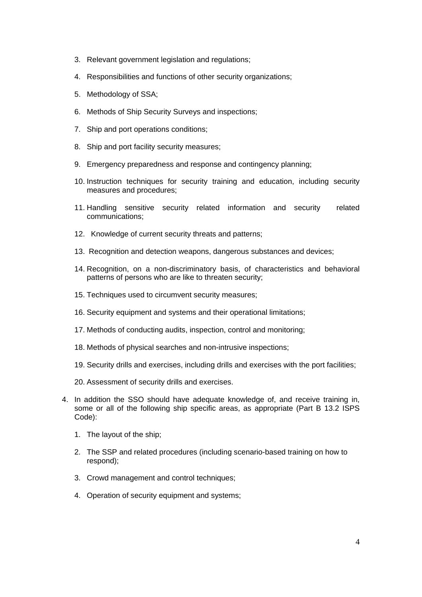- 3. Relevant government legislation and regulations;
- 4. Responsibilities and functions of other security organizations;
- 5. Methodology of SSA;
- 6. Methods of Ship Security Surveys and inspections;
- 7. Ship and port operations conditions;
- 8. Ship and port facility security measures;
- 9. Emergency preparedness and response and contingency planning;
- 10. Instruction techniques for security training and education, including security measures and procedures;
- 11. Handling sensitive security related information and security related communications;
- 12. Knowledge of current security threats and patterns;
- 13. Recognition and detection weapons, dangerous substances and devices;
- 14. Recognition, on a non-discriminatory basis, of characteristics and behavioral patterns of persons who are like to threaten security;
- 15. Techniques used to circumvent security measures;
- 16. Security equipment and systems and their operational limitations;
- 17. Methods of conducting audits, inspection, control and monitoring;
- 18. Methods of physical searches and non-intrusive inspections;
- 19. Security drills and exercises, including drills and exercises with the port facilities;
- 20. Assessment of security drills and exercises.
- 4. In addition the SSO should have adequate knowledge of, and receive training in, some or all of the following ship specific areas, as appropriate (Part B 13.2 ISPS Code):
	- 1. The layout of the ship;
	- 2. The SSP and related procedures (including scenario-based training on how to respond);
	- 3. Crowd management and control techniques;
	- 4. Operation of security equipment and systems;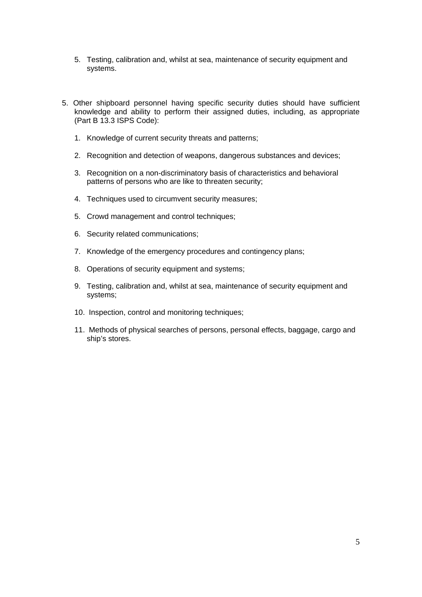- 5. Testing, calibration and, whilst at sea, maintenance of security equipment and systems.
- 5. Other shipboard personnel having specific security duties should have sufficient knowledge and ability to perform their assigned duties, including, as appropriate (Part B 13.3 ISPS Code):
	- 1. Knowledge of current security threats and patterns;
	- 2. Recognition and detection of weapons, dangerous substances and devices;
	- 3. Recognition on a non-discriminatory basis of characteristics and behavioral patterns of persons who are like to threaten security;
	- 4. Techniques used to circumvent security measures:
	- 5. Crowd management and control techniques;
	- 6. Security related communications;
	- 7. Knowledge of the emergency procedures and contingency plans;
	- 8. Operations of security equipment and systems;
	- 9. Testing, calibration and, whilst at sea, maintenance of security equipment and systems;
	- 10. Inspection, control and monitoring techniques;
	- 11. Methods of physical searches of persons, personal effects, baggage, cargo and ship's stores.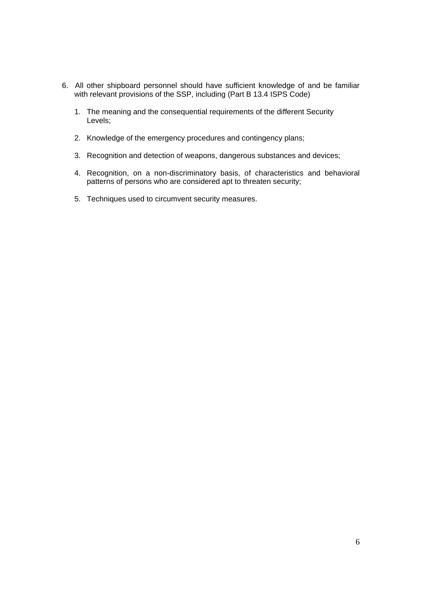- 6. All other shipboard personnel should have sufficient knowledge of and be familiar with relevant provisions of the SSP, including (Part B 13.4 ISPS Code)
	- 1. The meaning and the consequential requirements of the different Security Levels;
	- 2. Knowledge of the emergency procedures and contingency plans;
	- 3. Recognition and detection of weapons, dangerous substances and devices;
	- 4. Recognition, on a non-discriminatory basis, of characteristics and behavioral patterns of persons who are considered apt to threaten security;
	- 5. Techniques used to circumvent security measures.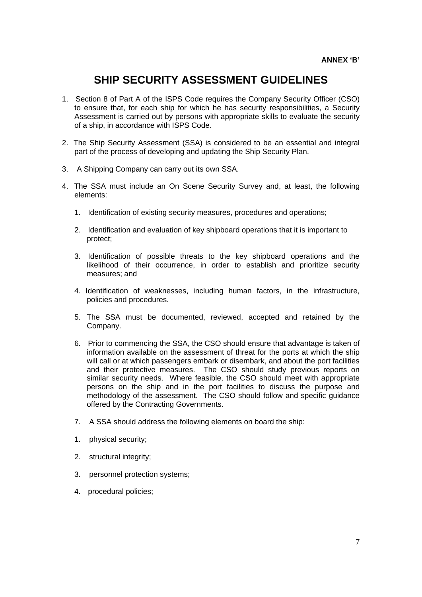# **SHIP SECURITY ASSESSMENT GUIDELINES**

- 1. Section 8 of Part A of the ISPS Code requires the Company Security Officer (CSO) to ensure that, for each ship for which he has security responsibilities, a Security Assessment is carried out by persons with appropriate skills to evaluate the security of a ship, in accordance with ISPS Code.
- 2. The Ship Security Assessment (SSA) is considered to be an essential and integral part of the process of developing and updating the Ship Security Plan.
- 3. A Shipping Company can carry out its own SSA.
- 4. The SSA must include an On Scene Security Survey and, at least, the following elements:
	- 1. Identification of existing security measures, procedures and operations;
	- 2. Identification and evaluation of key shipboard operations that it is important to protect;
	- 3. Identification of possible threats to the key shipboard operations and the likelihood of their occurrence, in order to establish and prioritize security measures; and
	- 4. Identification of weaknesses, including human factors, in the infrastructure, policies and procedures.
	- 5. The SSA must be documented, reviewed, accepted and retained by the Company.
	- 6. Prior to commencing the SSA, the CSO should ensure that advantage is taken of information available on the assessment of threat for the ports at which the ship will call or at which passengers embark or disembark, and about the port facilities and their protective measures. The CSO should study previous reports on similar security needs. Where feasible, the CSO should meet with appropriate persons on the ship and in the port facilities to discuss the purpose and methodology of the assessment. The CSO should follow and specific guidance offered by the Contracting Governments.
	- 7. A SSA should address the following elements on board the ship:
	- 1. physical security;
	- 2. structural integrity;
	- 3. personnel protection systems;
	- 4. procedural policies;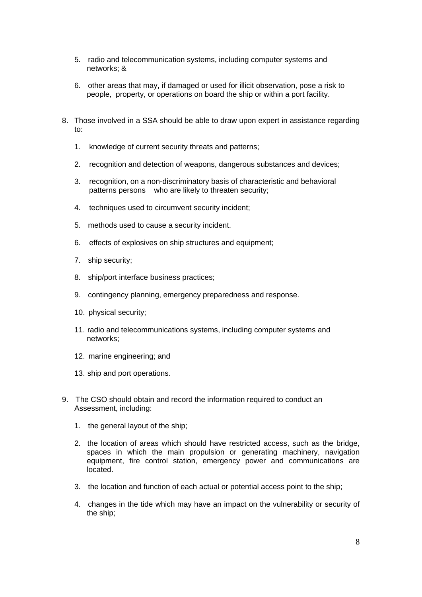- 5. radio and telecommunication systems, including computer systems and networks; &
- 6. other areas that may, if damaged or used for illicit observation, pose a risk to people, property, or operations on board the ship or within a port facility.
- 8. Those involved in a SSA should be able to draw upon expert in assistance regarding to:
	- 1. knowledge of current security threats and patterns;
	- 2. recognition and detection of weapons, dangerous substances and devices;
	- 3. recognition, on a non-discriminatory basis of characteristic and behavioral patterns persons who are likely to threaten security;
	- 4. techniques used to circumvent security incident;
	- 5. methods used to cause a security incident.
	- 6. effects of explosives on ship structures and equipment;
	- 7. ship security;
	- 8. ship/port interface business practices;
	- 9. contingency planning, emergency preparedness and response.
	- 10. physical security;
	- 11. radio and telecommunications systems, including computer systems and networks;
	- 12. marine engineering; and
	- 13. ship and port operations.
- 9. The CSO should obtain and record the information required to conduct an Assessment, including:
	- 1. the general layout of the ship;
	- 2. the location of areas which should have restricted access, such as the bridge, spaces in which the main propulsion or generating machinery, navigation equipment, fire control station, emergency power and communications are located.
	- 3. the location and function of each actual or potential access point to the ship;
	- 4. changes in the tide which may have an impact on the vulnerability or security of the ship;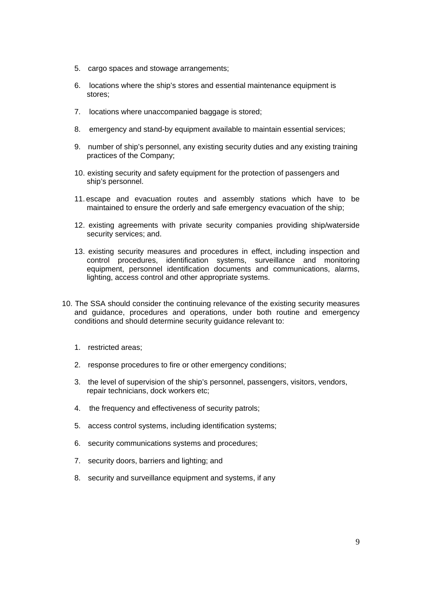- 5. cargo spaces and stowage arrangements;
- 6. locations where the ship's stores and essential maintenance equipment is stores;
- 7. locations where unaccompanied baggage is stored;
- 8. emergency and stand-by equipment available to maintain essential services;
- 9. number of ship's personnel, any existing security duties and any existing training practices of the Company;
- 10. existing security and safety equipment for the protection of passengers and ship's personnel.
- 11. escape and evacuation routes and assembly stations which have to be maintained to ensure the orderly and safe emergency evacuation of the ship;
- 12. existing agreements with private security companies providing ship/waterside security services; and.
- 13. existing security measures and procedures in effect, including inspection and control procedures, identification systems, surveillance and monitoring equipment, personnel identification documents and communications, alarms, lighting, access control and other appropriate systems.
- 10. The SSA should consider the continuing relevance of the existing security measures and guidance, procedures and operations, under both routine and emergency conditions and should determine security guidance relevant to:
	- 1. restricted areas;
	- 2. response procedures to fire or other emergency conditions;
	- 3. the level of supervision of the ship's personnel, passengers, visitors, vendors, repair technicians, dock workers etc;
	- 4. the frequency and effectiveness of security patrols;
	- 5. access control systems, including identification systems;
	- 6. security communications systems and procedures;
	- 7. security doors, barriers and lighting; and
	- 8. security and surveillance equipment and systems, if any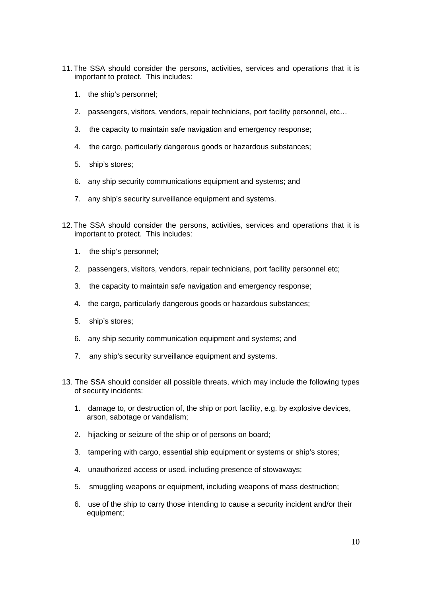- 11. The SSA should consider the persons, activities, services and operations that it is important to protect. This includes:
	- 1. the ship's personnel;
	- 2. passengers, visitors, vendors, repair technicians, port facility personnel, etc…
	- 3. the capacity to maintain safe navigation and emergency response;
	- 4. the cargo, particularly dangerous goods or hazardous substances;
	- 5. ship's stores;
	- 6. any ship security communications equipment and systems; and
	- 7. any ship's security surveillance equipment and systems.
- 12. The SSA should consider the persons, activities, services and operations that it is important to protect. This includes:
	- 1. the ship's personnel;
	- 2. passengers, visitors, vendors, repair technicians, port facility personnel etc;
	- 3. the capacity to maintain safe navigation and emergency response;
	- 4. the cargo, particularly dangerous goods or hazardous substances;
	- 5. ship's stores;
	- 6. any ship security communication equipment and systems; and
	- 7. any ship's security surveillance equipment and systems.
- 13. The SSA should consider all possible threats, which may include the following types of security incidents:
	- 1. damage to, or destruction of, the ship or port facility, e.g. by explosive devices, arson, sabotage or vandalism;
	- 2. hijacking or seizure of the ship or of persons on board;
	- 3. tampering with cargo, essential ship equipment or systems or ship's stores;
	- 4. unauthorized access or used, including presence of stowaways;
	- 5. smuggling weapons or equipment, including weapons of mass destruction;
	- 6. use of the ship to carry those intending to cause a security incident and/or their equipment;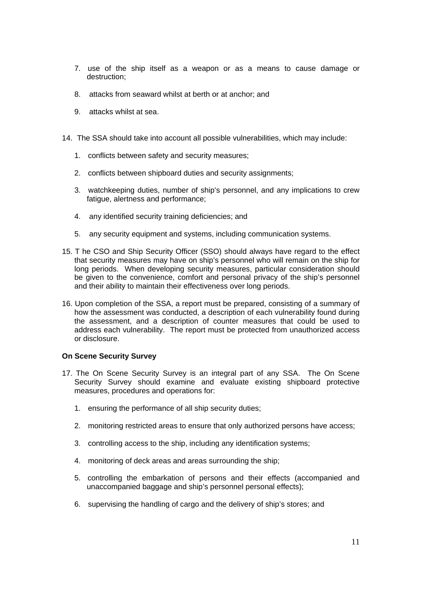- 7. use of the ship itself as a weapon or as a means to cause damage or destruction;
- 8. attacks from seaward whilst at berth or at anchor; and
- 9. attacks whilst at sea.
- 14. The SSA should take into account all possible vulnerabilities, which may include:
	- 1. conflicts between safety and security measures;
	- 2. conflicts between shipboard duties and security assignments;
	- 3. watchkeeping duties, number of ship's personnel, and any implications to crew fatique, alertness and performance;
	- 4. any identified security training deficiencies; and
	- 5. any security equipment and systems, including communication systems.
- 15. T he CSO and Ship Security Officer (SSO) should always have regard to the effect that security measures may have on ship's personnel who will remain on the ship for long periods. When developing security measures, particular consideration should be given to the convenience, comfort and personal privacy of the ship's personnel and their ability to maintain their effectiveness over long periods.
- 16. Upon completion of the SSA, a report must be prepared, consisting of a summary of how the assessment was conducted, a description of each vulnerability found during the assessment, and a description of counter measures that could be used to address each vulnerability. The report must be protected from unauthorized access or disclosure.

#### **On Scene Security Survey**

- 17. The On Scene Security Survey is an integral part of any SSA. The On Scene Security Survey should examine and evaluate existing shipboard protective measures, procedures and operations for:
	- 1. ensuring the performance of all ship security duties;
	- 2. monitoring restricted areas to ensure that only authorized persons have access;
	- 3. controlling access to the ship, including any identification systems;
	- 4. monitoring of deck areas and areas surrounding the ship;
	- 5. controlling the embarkation of persons and their effects (accompanied and unaccompanied baggage and ship's personnel personal effects);
	- 6. supervising the handling of cargo and the delivery of ship's stores; and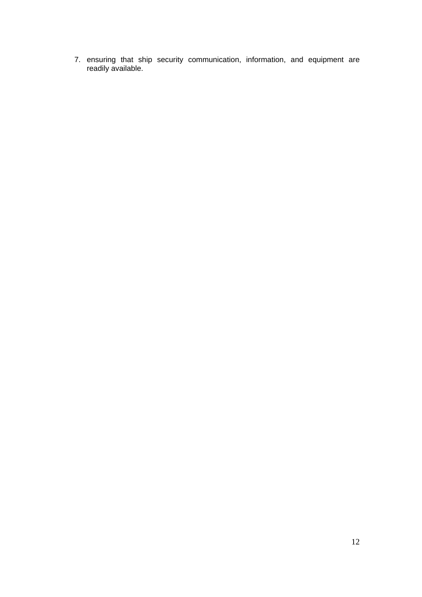7. ensuring that ship security communication, information, and equipment are readily available.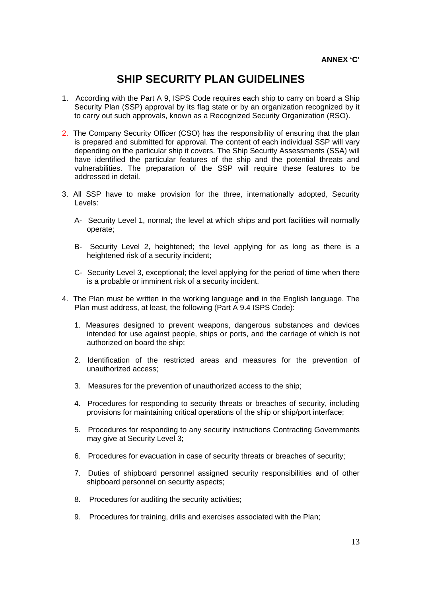# **SHIP SECURITY PLAN GUIDELINES**

- 1. According with the Part A 9, ISPS Code requires each ship to carry on board a Ship Security Plan (SSP) approval by its flag state or by an organization recognized by it to carry out such approvals, known as a Recognized Security Organization (RSO).
- 2. The Company Security Officer (CSO) has the responsibility of ensuring that the plan is prepared and submitted for approval. The content of each individual SSP will vary depending on the particular ship it covers. The Ship Security Assessments (SSA) will have identified the particular features of the ship and the potential threats and vulnerabilities. The preparation of the SSP will require these features to be addressed in detail.
- 3. All SSP have to make provision for the three, internationally adopted, Security Levels:
	- A- Security Level 1, normal; the level at which ships and port facilities will normally operate;
	- B- Security Level 2, heightened; the level applying for as long as there is a heightened risk of a security incident;
	- C- Security Level 3, exceptional; the level applying for the period of time when there is a probable or imminent risk of a security incident.
- 4. The Plan must be written in the working language **and** in the English language. The Plan must address, at least, the following (Part A 9.4 ISPS Code):
	- 1. Measures designed to prevent weapons, dangerous substances and devices intended for use against people, ships or ports, and the carriage of which is not authorized on board the ship;
	- 2. Identification of the restricted areas and measures for the prevention of unauthorized access;
	- 3. Measures for the prevention of unauthorized access to the ship;
	- 4. Procedures for responding to security threats or breaches of security, including provisions for maintaining critical operations of the ship or ship/port interface;
	- 5. Procedures for responding to any security instructions Contracting Governments may give at Security Level 3;
	- 6. Procedures for evacuation in case of security threats or breaches of security;
	- 7. Duties of shipboard personnel assigned security responsibilities and of other shipboard personnel on security aspects;
	- 8. Procedures for auditing the security activities;
	- 9. Procedures for training, drills and exercises associated with the Plan;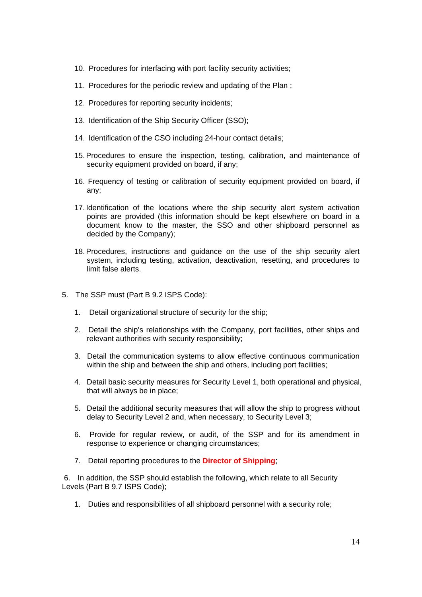- 10. Procedures for interfacing with port facility security activities;
- 11. Procedures for the periodic review and updating of the Plan ;
- 12. Procedures for reporting security incidents;
- 13. Identification of the Ship Security Officer (SSO);
- 14. Identification of the CSO including 24-hour contact details;
- 15.Procedures to ensure the inspection, testing, calibration, and maintenance of security equipment provided on board, if any;
- 16. Frequency of testing or calibration of security equipment provided on board, if any;
- 17. Identification of the locations where the ship security alert system activation points are provided (this information should be kept elsewhere on board in a document know to the master, the SSO and other shipboard personnel as decided by the Company);
- 18.Procedures, instructions and guidance on the use of the ship security alert system, including testing, activation, deactivation, resetting, and procedures to limit false alerts.
- 5. The SSP must (Part B 9.2 ISPS Code):
	- 1. Detail organizational structure of security for the ship;
	- 2. Detail the ship's relationships with the Company, port facilities, other ships and relevant authorities with security responsibility;
	- 3. Detail the communication systems to allow effective continuous communication within the ship and between the ship and others, including port facilities;
	- 4. Detail basic security measures for Security Level 1, both operational and physical, that will always be in place;
	- 5. Detail the additional security measures that will allow the ship to progress without delay to Security Level 2 and, when necessary, to Security Level 3;
	- 6. Provide for regular review, or audit, of the SSP and for its amendment in response to experience or changing circumstances;
	- 7. Detail reporting procedures to the **Director of Shipping**;

 6. In addition, the SSP should establish the following, which relate to all Security Levels (Part B 9.7 ISPS Code);

1. Duties and responsibilities of all shipboard personnel with a security role;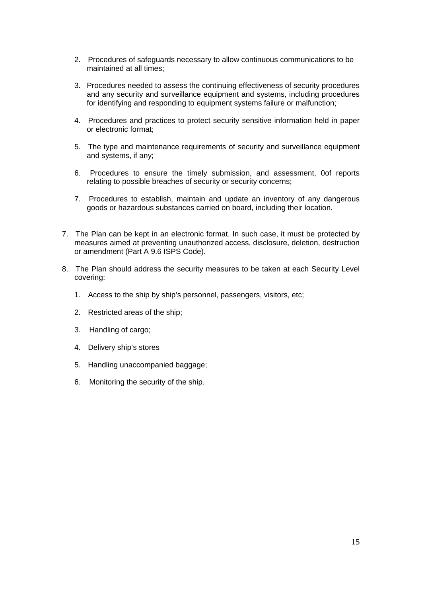- 2. Procedures of safeguards necessary to allow continuous communications to be maintained at all times;
- 3. Procedures needed to assess the continuing effectiveness of security procedures and any security and surveillance equipment and systems, including procedures for identifying and responding to equipment systems failure or malfunction;
- 4. Procedures and practices to protect security sensitive information held in paper or electronic format;
- 5. The type and maintenance requirements of security and surveillance equipment and systems, if any;
- 6. Procedures to ensure the timely submission, and assessment, 0of reports relating to possible breaches of security or security concerns;
- 7. Procedures to establish, maintain and update an inventory of any dangerous goods or hazardous substances carried on board, including their location.
- 7. The Plan can be kept in an electronic format. In such case, it must be protected by measures aimed at preventing unauthorized access, disclosure, deletion, destruction or amendment (Part A 9.6 ISPS Code).
- 8. The Plan should address the security measures to be taken at each Security Level covering:
	- 1. Access to the ship by ship's personnel, passengers, visitors, etc;
	- 2. Restricted areas of the ship;
	- 3. Handling of cargo;
	- 4. Delivery ship's stores
	- 5. Handling unaccompanied baggage;
	- 6. Monitoring the security of the ship.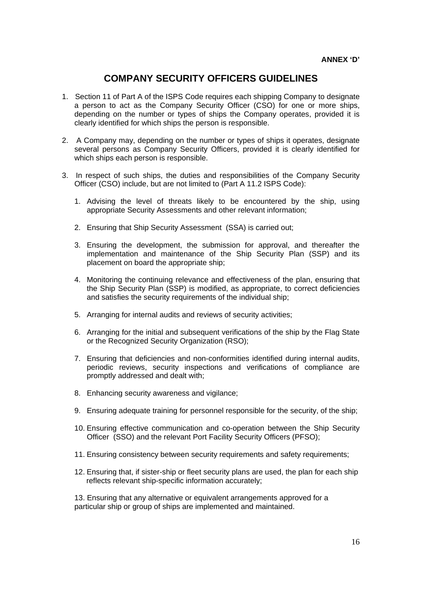# **COMPANY SECURITY OFFICERS GUIDELINES**

- 1. Section 11 of Part A of the ISPS Code requires each shipping Company to designate a person to act as the Company Security Officer (CSO) for one or more ships, depending on the number or types of ships the Company operates, provided it is clearly identified for which ships the person is responsible.
- 2. A Company may, depending on the number or types of ships it operates, designate several persons as Company Security Officers, provided it is clearly identified for which ships each person is responsible.
- 3. In respect of such ships, the duties and responsibilities of the Company Security Officer (CSO) include, but are not limited to (Part A 11.2 ISPS Code):
	- 1. Advising the level of threats likely to be encountered by the ship, using appropriate Security Assessments and other relevant information;
	- 2. Ensuring that Ship Security Assessment (SSA) is carried out;
	- 3. Ensuring the development, the submission for approval, and thereafter the implementation and maintenance of the Ship Security Plan (SSP) and its placement on board the appropriate ship;
	- 4. Monitoring the continuing relevance and effectiveness of the plan, ensuring that the Ship Security Plan (SSP) is modified, as appropriate, to correct deficiencies and satisfies the security requirements of the individual ship;
	- 5. Arranging for internal audits and reviews of security activities;
	- 6. Arranging for the initial and subsequent verifications of the ship by the Flag State or the Recognized Security Organization (RSO);
	- 7. Ensuring that deficiencies and non-conformities identified during internal audits, periodic reviews, security inspections and verifications of compliance are promptly addressed and dealt with;
	- 8. Enhancing security awareness and vigilance;
	- 9. Ensuring adequate training for personnel responsible for the security, of the ship;
	- 10. Ensuring effective communication and co-operation between the Ship Security Officer (SSO) and the relevant Port Facility Security Officers (PFSO);
	- 11. Ensuring consistency between security requirements and safety requirements;
	- 12. Ensuring that, if sister-ship or fleet security plans are used, the plan for each ship reflects relevant ship-specific information accurately;

13. Ensuring that any alternative or equivalent arrangements approved for a particular ship or group of ships are implemented and maintained.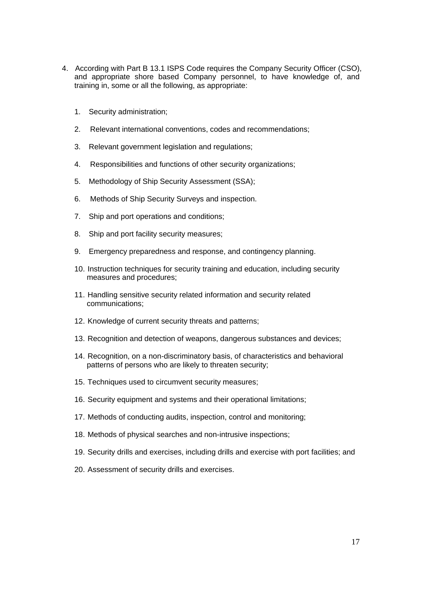- 4. According with Part B 13.1 ISPS Code requires the Company Security Officer (CSO), and appropriate shore based Company personnel, to have knowledge of, and training in, some or all the following, as appropriate:
	- 1. Security administration;
	- 2. Relevant international conventions, codes and recommendations;
	- 3. Relevant government legislation and regulations;
	- 4. Responsibilities and functions of other security organizations;
	- 5. Methodology of Ship Security Assessment (SSA);
	- 6. Methods of Ship Security Surveys and inspection.
	- 7. Ship and port operations and conditions;
	- 8. Ship and port facility security measures;
	- 9. Emergency preparedness and response, and contingency planning.
	- 10. Instruction techniques for security training and education, including security measures and procedures;
	- 11. Handling sensitive security related information and security related communications;
	- 12. Knowledge of current security threats and patterns;
	- 13. Recognition and detection of weapons, dangerous substances and devices;
	- 14. Recognition, on a non-discriminatory basis, of characteristics and behavioral patterns of persons who are likely to threaten security;
	- 15. Techniques used to circumvent security measures;
	- 16. Security equipment and systems and their operational limitations;
	- 17. Methods of conducting audits, inspection, control and monitoring;
	- 18. Methods of physical searches and non-intrusive inspections;
	- 19. Security drills and exercises, including drills and exercise with port facilities; and
	- 20. Assessment of security drills and exercises.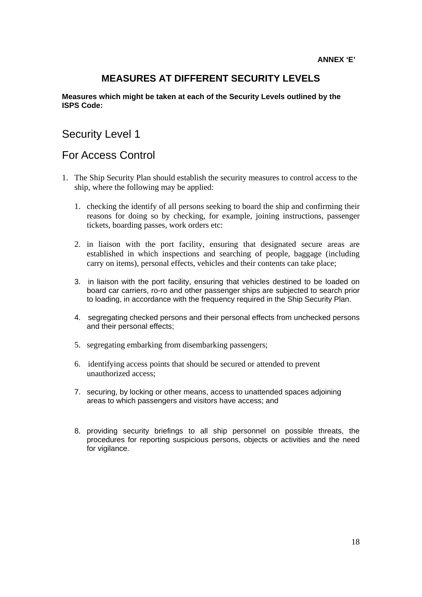# **MEASURES AT DIFFERENT SECURITY LEVELS**

#### **Measures which might be taken at each of the Security Levels outlined by the ISPS Code:**

# Security Level 1

# For Access Control

- 1. The Ship Security Plan should establish the security measures to control access to the ship, where the following may be applied:
	- 1. checking the identify of all persons seeking to board the ship and confirming their reasons for doing so by checking, for example, joining instructions, passenger tickets, boarding passes, work orders etc:
	- 2. in liaison with the port facility, ensuring that designated secure areas are established in which inspections and searching of people, baggage (including carry on items), personal effects, vehicles and their contents can take place;
	- 3. in liaison with the port facility, ensuring that vehicles destined to be loaded on board car carriers, ro-ro and other passenger ships are subjected to search prior to loading, in accordance with the frequency required in the Ship Security Plan.
	- 4. segregating checked persons and their personal effects from unchecked persons and their personal effects;
	- 5. segregating embarking from disembarking passengers;
	- 6. identifying access points that should be secured or attended to prevent unauthorized access;
	- 7. securing, by locking or other means, access to unattended spaces adjoining areas to which passengers and visitors have access; and
	- 8. providing security briefings to all ship personnel on possible threats, the procedures for reporting suspicious persons, objects or activities and the need for vigilance.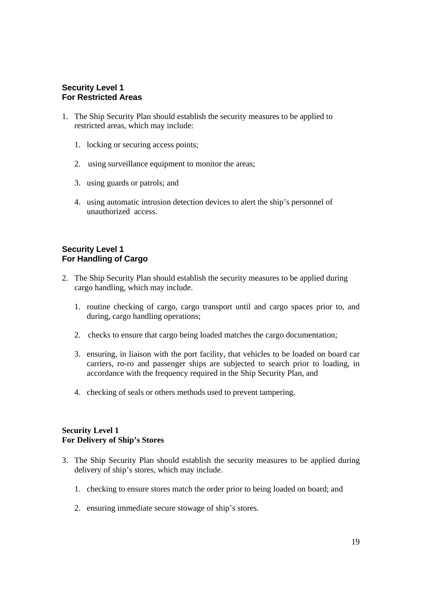#### **Security Level 1 For Restricted Areas**

- 1. The Ship Security Plan should establish the security measures to be applied to restricted areas, which may include:
	- 1. locking or securing access points;
	- 2. using surveillance equipment to monitor the areas;
	- 3. using guards or patrols; and
	- 4. using automatic intrusion detection devices to alert the ship's personnel of unauthorized access.

#### **Security Level 1 For Handling of Cargo**

- 2. The Ship Security Plan should establish the security measures to be applied during cargo handling, which may include.
	- 1. routine checking of cargo, cargo transport until and cargo spaces prior to, and during, cargo handling operations;
	- 2. checks to ensure that cargo being loaded matches the cargo documentation;
	- 3. ensuring, in liaison with the port facility, that vehicles to be loaded on board car carriers, ro-ro and passenger ships are subjected to search prior to loading, in accordance with the frequency required in the Ship Security Plan, and
	- 4. checking of seals or others methods used to prevent tampering.

#### **Security Level 1 For Delivery of Ship's Stores**

- 3. The Ship Security Plan should establish the security measures to be applied during delivery of ship's stores, which may include.
	- 1. checking to ensure stores match the order prior to being loaded on board; and
	- 2. ensuring immediate secure stowage of ship's stores.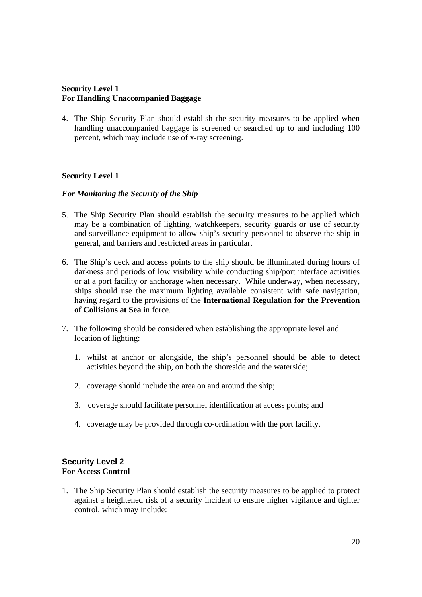### **Security Level 1 For Handling Unaccompanied Baggage**

4. The Ship Security Plan should establish the security measures to be applied when handling unaccompanied baggage is screened or searched up to and including 100 percent, which may include use of x-ray screening.

# **Security Level 1**

#### *For Monitoring the Security of the Ship*

- 5. The Ship Security Plan should establish the security measures to be applied which may be a combination of lighting, watchkeepers, security guards or use of security and surveillance equipment to allow ship's security personnel to observe the ship in general, and barriers and restricted areas in particular.
- 6. The Ship's deck and access points to the ship should be illuminated during hours of darkness and periods of low visibility while conducting ship/port interface activities or at a port facility or anchorage when necessary. While underway, when necessary, ships should use the maximum lighting available consistent with safe navigation, having regard to the provisions of the **International Regulation for the Prevention of Collisions at Sea** in force.
- 7. The following should be considered when establishing the appropriate level and location of lighting:
	- 1. whilst at anchor or alongside, the ship's personnel should be able to detect activities beyond the ship, on both the shoreside and the waterside;
	- 2. coverage should include the area on and around the ship;
	- 3. coverage should facilitate personnel identification at access points; and
	- 4. coverage may be provided through co-ordination with the port facility.

# **Security Level 2 For Access Control**

1. The Ship Security Plan should establish the security measures to be applied to protect against a heightened risk of a security incident to ensure higher vigilance and tighter control, which may include: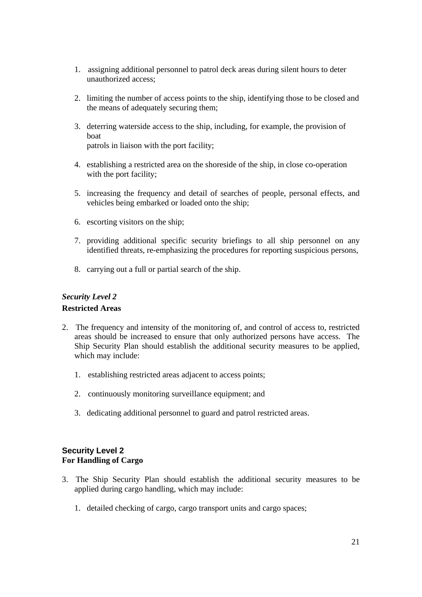- 1. assigning additional personnel to patrol deck areas during silent hours to deter unauthorized access;
- 2. limiting the number of access points to the ship, identifying those to be closed and the means of adequately securing them;
- 3. deterring waterside access to the ship, including, for example, the provision of boat patrols in liaison with the port facility;
- 4. establishing a restricted area on the shoreside of the ship, in close co-operation with the port facility;
- 5. increasing the frequency and detail of searches of people, personal effects, and vehicles being embarked or loaded onto the ship;
- 6. escorting visitors on the ship;
- 7. providing additional specific security briefings to all ship personnel on any identified threats, re-emphasizing the procedures for reporting suspicious persons,
- 8. carrying out a full or partial search of the ship.

#### *Security Level 2*

#### **Restricted Areas**

- 2. The frequency and intensity of the monitoring of, and control of access to, restricted areas should be increased to ensure that only authorized persons have access. The Ship Security Plan should establish the additional security measures to be applied, which may include:
	- 1. establishing restricted areas adjacent to access points;
	- 2. continuously monitoring surveillance equipment; and
	- 3. dedicating additional personnel to guard and patrol restricted areas.

# **Security Level 2 For Handling of Cargo**

- 3. The Ship Security Plan should establish the additional security measures to be applied during cargo handling, which may include:
	- 1. detailed checking of cargo, cargo transport units and cargo spaces;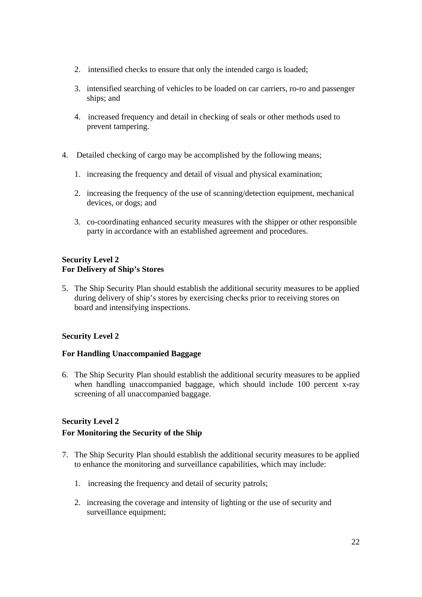- 2. intensified checks to ensure that only the intended cargo is loaded;
- 3. intensified searching of vehicles to be loaded on car carriers, ro-ro and passenger ships; and
- 4. increased frequency and detail in checking of seals or other methods used to prevent tampering.
- 4. Detailed checking of cargo may be accomplished by the following means;
	- 1. increasing the frequency and detail of visual and physical examination;
	- 2. increasing the frequency of the use of scanning/detection equipment, mechanical devices, or dogs; and
	- 3. co-coordinating enhanced security measures with the shipper or other responsible party in accordance with an established agreement and procedures.

#### **Security Level 2 For Delivery of Ship's Stores**

5. The Ship Security Plan should establish the additional security measures to be applied during delivery of ship's stores by exercising checks prior to receiving stores on board and intensifying inspections.

# **Security Level 2**

# **For Handling Unaccompanied Baggage**

6. The Ship Security Plan should establish the additional security measures to be applied when handling unaccompanied baggage, which should include 100 percent x-ray screening of all unaccompanied baggage.

# **Security Level 2**

# **For Monitoring the Security of the Ship**

- 7. The Ship Security Plan should establish the additional security measures to be applied to enhance the monitoring and surveillance capabilities, which may include:
	- 1. increasing the frequency and detail of security patrols;
	- 2. increasing the coverage and intensity of lighting or the use of security and surveillance equipment: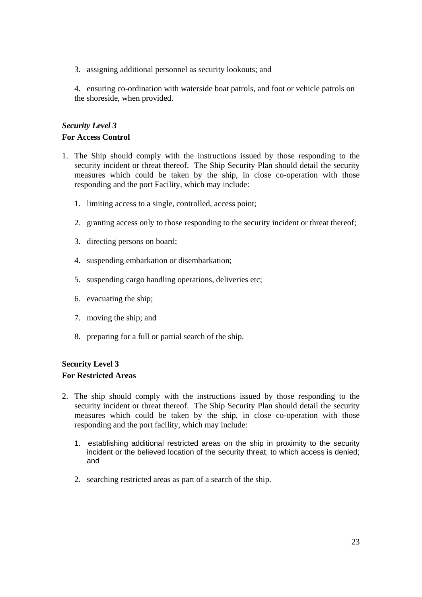3. assigning additional personnel as security lookouts; and

4. ensuring co-ordination with waterside boat patrols, and foot or vehicle patrols on the shoreside, when provided.

# *Security Level 3*  **For Access Control**

- 1. The Ship should comply with the instructions issued by those responding to the security incident or threat thereof. The Ship Security Plan should detail the security measures which could be taken by the ship, in close co-operation with those responding and the port Facility, which may include:
	- 1. limiting access to a single, controlled, access point;
	- 2. granting access only to those responding to the security incident or threat thereof;
	- 3. directing persons on board;
	- 4. suspending embarkation or disembarkation;
	- 5. suspending cargo handling operations, deliveries etc;
	- 6. evacuating the ship;
	- 7. moving the ship; and
	- 8. preparing for a full or partial search of the ship.

# **Security Level 3 For Restricted Areas**

- 2. The ship should comply with the instructions issued by those responding to the security incident or threat thereof. The Ship Security Plan should detail the security measures which could be taken by the ship, in close co-operation with those responding and the port facility, which may include:
	- 1. establishing additional restricted areas on the ship in proximity to the security incident or the believed location of the security threat, to which access is denied; and
	- 2. searching restricted areas as part of a search of the ship.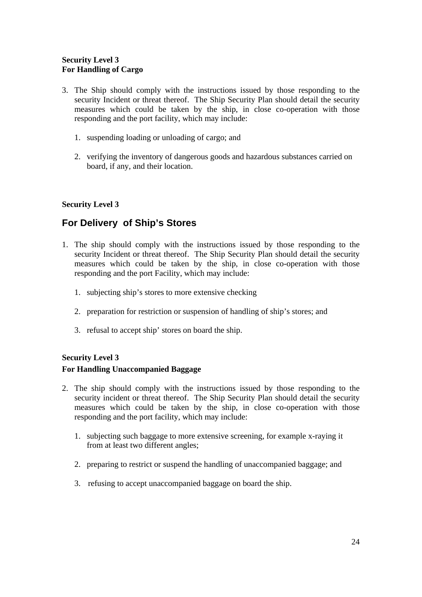# **Security Level 3 For Handling of Cargo**

- 3. The Ship should comply with the instructions issued by those responding to the security Incident or threat thereof. The Ship Security Plan should detail the security measures which could be taken by the ship, in close co-operation with those responding and the port facility, which may include:
	- 1. suspending loading or unloading of cargo; and
	- 2. verifying the inventory of dangerous goods and hazardous substances carried on board, if any, and their location.

# **Security Level 3**

# **For Delivery of Ship's Stores**

- 1. The ship should comply with the instructions issued by those responding to the security Incident or threat thereof. The Ship Security Plan should detail the security measures which could be taken by the ship, in close co-operation with those responding and the port Facility, which may include:
	- 1. subjecting ship's stores to more extensive checking
	- 2. preparation for restriction or suspension of handling of ship's stores; and
	- 3. refusal to accept ship' stores on board the ship.

# **Security Level 3 For Handling Unaccompanied Baggage**

- 2. The ship should comply with the instructions issued by those responding to the security incident or threat thereof. The Ship Security Plan should detail the security measures which could be taken by the ship, in close co-operation with those responding and the port facility, which may include:
	- 1. subjecting such baggage to more extensive screening, for example x-raying it from at least two different angles;
	- 2. preparing to restrict or suspend the handling of unaccompanied baggage; and
	- 3. refusing to accept unaccompanied baggage on board the ship.